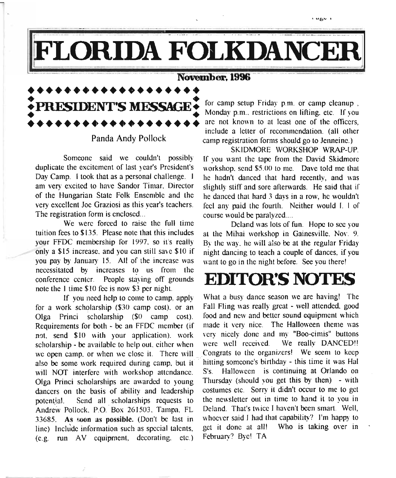# LORIDA FOLKDANCEF

#### November, 1996

**••••••••••••••••••• : PRESIDENT'S MESSAGE!** • • **•••••••••••••••••••**

-

Panda Andy Pollock

Someone said we couldn't possibly duplicate the excitement of last year's President's Day Camp. I took that as a personal challenge. I am very excited to have Sandor Timar. Director of the Hungarian State Folk Ensemble and the very excellent Joe Graziosi as this year's teachers. The registration form is enclosed...

We were forced to raise the full time tuition fees to \$135. Please note that this includes yoyr FFDC membership for 1997, so it's really only a \$15 increase. and you can still save \$10 if you pay by January 15. All of the increase was necessitated by increases to us from the conference center. People staying off grounds note the I time \$10 fee is now \$3 per night.

for a work scholarship  $$30$  camp cost), or an Olga Princi scholarship (\$0 camp cost). food and new and better sound equipment which<br>Requirements for both - be an FFDC member (if made it very nice. The Halloween theme was Requirements for both - be an FFDC member (if made it very nice. The Halloween theme was not send \$10 with your application) work very nicely done and my "Boo-cimis" buttons not, send \$10 with your application), work very nicely done and my "Boo-cimis" buttons scholarship be available to belp out either when were well received. We really DANCED!!  $scholarship - be available to help out, either when were well received.$ we open camp, or when we close it. There will Congrats to the organizers! We seem to keep also be some work required during camp, but it is hitting someone's birthday - this time it was Hal also be some work required during camp, but it -'.'hitting somconc's birthday - this time it was Hal will NOT interfere with workshop attendance. S's. Olga Princi scholarships are awarded to young Thursday (should you get this by then) - with dancers on the basis of ability and leadership costumes etc. Sorry it didn't occur to me to get dancers on the basis of ability and leadership potential. Send all scholarships requests to the newsletter out in time to hand it to you in Andrew Pollock P.O. Box 261503. Tampa FL. Deland. That's twice I haven't been smart. Well, Andrew Pollock. P.O. Box 261503. Tampa. FL Deland. That's twice I haven't been smart. Well, 33685 As soon as nossible. (Don't be last in whoever said I had that capability? I'm happy to 33685. As soon as possible. (Don't be last in whoever said I had that capability? I'm happy to line) Include information such as special talents get it done at all! Who is taking over in line) Include information such as special talents, get it done at all!<br>(e.g. run AV equipment, decorating, etc.) February? Bye! TA  $(e.g.$  run AV equipment, decorating, etc.)

for camp setup Friday p.m. or camp cleanup, Monday p.m., restrictions on lifting, etc. If you are not known to at least one of the officers, include a letter of recommendation. (all other camp registration forms should go to Jenneine.)

SKIDMORE WORKSHOP WRAP-UP. If you want the tape from the David Skidmore workshop, send \$5.00 to me. Dave told me that he hadn't danced that hard recently, and was slightly stiff and sore afterwards. He said that if he danced that hard 3 days in a row, he wouldn't feci any paid the fourth. Neither would I. I of course would be paralyzed....

Deland was lots of fun. Hope to see you at the Mihai workshop in Gainesville, Nov. 9. By the way. he will also be at the regular Friday night dancing to teach a couple of dances. if you want to go in the night before. See you there!

# **EDITOR'S NOTES**

If you need help to come to camp, apply What a busy dance season we are having! The scholarship (\$30 camp cost) or an Fall Fling was really great - well attended, good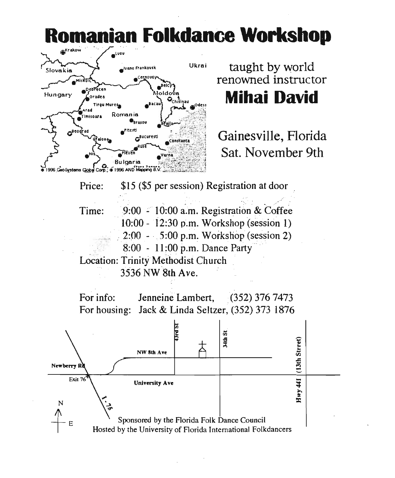# **Romanian Folkdance Workshop**



taught by world renowned instructor **Mihai David**

Gainesville, Florida Sat. November 9th

\$15 (\$5 per session) Registration at door Price:

Time:  $9:00 - 10:00$  a.m. Registration & Coffee 10:00 - 12:30 p.m. Workshop (session 1) 2:00 - ...  $5:00$  p.m. Workshop (session 2) . 8:00 - 11:00 p.m. Dance Party" Location: Trinity Methodist Church

3536 NW 8th Ave.

For info: Jenneine Lambert, (352) 376 7473 For housing: Jack & Linda Seltzer, (352) 373 1876

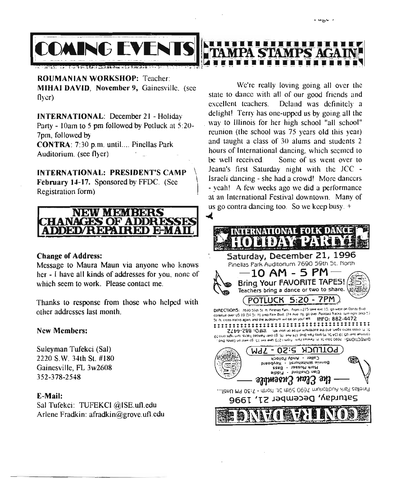

**ROUMANIAN WORKSHOP:** Teacher: MIHAI DAVID, November 9, Gainesville, (see  $f(\text{Vert})$ 

INTERNATIONAL: December 21 - Holiday Party - lOam to 5 pm followed by Potluck at 5:20- 7pm, followed by CONTRA: 7:30 p.m. until.... Pinellas Park Auditorium. (see flyer)

INTERNATIONAL: PRESIDENT'S CAMP \ February 14-17. Sponsored by FFDC. (See Registration form)



#### Change of Address:

Message to Maura Maun via anyone who knows her - I have all kinds of addresses for you. none of which seem to work. Please contact me.

Thanks to response from those who helped with other addresses last month.

#### New Members:

Suleyman Tufekci (Sal) 2220 S.W. 34th St. #180 Gainesville, FL 3w2608 352-378-2548

#### E-Mail:

Sal Tufekci: TUFEKCI @ISE.uf1.edu Arlene Fradkin: afradkin@grove.uf1.edu

We're really loving going all over the state to dance with all of our good friends and excellent teachers. Deland was definitely a delight! Terry has one-upped us by going all the way to Illinois for her high school "all school" reunion (the school was 75 years old this year) and taught a class of 30 alums and students 2 hours of International dancing. which seemed to be well received. Some of us went over to Jeana's first Saturday night with the *lCC -* Israeli dancing - she had a crowd! More dancers - yeah! A few weeks ago we did a performance at an International Festival downtown. Many of us go contra dancing too. So we keep busy. +

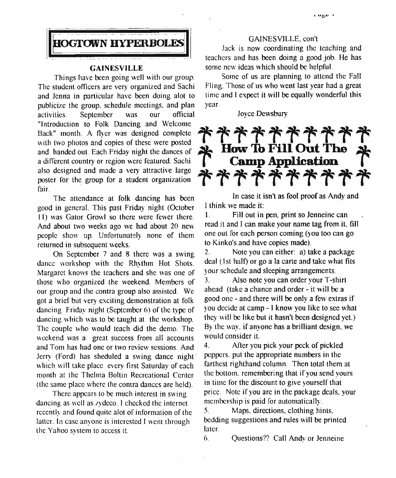

#### GAINESVILLE

Things have been going well with our group. The student officers are very organized and Sachi and Jcnna in particular have been doing alot to publicize the group. schedule meetings. and plan activities. September was our official "Introduction to Folk Dancing and Welcome Back" month. A flyer was designed complete with two photos and copies of these were posted and handed out Each Friday night the dances of a different country or region were featured. Sachi also designed and made a very attractive large poster for the group for a student organization fair.

The attendance at folk dancing has been good in general. This past Friday night (October II) was Gator Growl so there were fewer there. And about two weeks ago we had about 20 new people show up. Unfortunately none of them returned in subsequent weeks.

On September 7 and 8 there was a swing dance workshop with the Rhythm Hot Shots. Margaret knows the teachers and she was one of those who organized the weekend. Members of our group and the contra group also assisted. We got a brief but very exciting demonstration at folk dancing Friday night (September 6) of the type of dancing which was to be taught at the workshop. The couple who would teach did the demo. The weekend was a great success from all accounts and Tom has had one or two review sessions. And Jerry (Ford) has sheduled a swing dance night' which will take place every first Saturday of each month at the Thelma Boltin Recreational Center (the same place where the contra dances are held).

There appears to be much interest in swing dancing as well as zydcco. <sup>J</sup> checked the internet recently and found quite alot of information of the latter. In case anyone is interested I went through the Yahoo system to access it

#### GAlNESVlLLE, con't

Jack is now coordinating the teaching and teachers and has been doing a good job. He has some new ideas which should be helpful.

Some of us are planning to attend the Fait Fling. Those of us who went last year had a great time and I expect it will be equally wonderful this year.

Joyce Dewsbury



In case it isn't as fool proof as Andy and I think we made it:

I. Fill out in pen, print so Jenneine can read it and I can make your name tag from it. fill one out [or each person coming (you too can go to Kinko's and have copies made).

2. Note you can either: a) take a package deal ( Ist half) or go a la carte and take what fits your schedule and sleeping arrangements.

3. Also note you can order your T-shirt ahead (take a chance and order - it will be a good one - and there will be only a few extras if you decide at camp - I know you like to see what they will be like but it hasn't been designed yet) By the way. if anyone has a brilliant design. we would consider it.

4. After you pick your peck of pickled peppers. put the appropriate numbers in the farthest righthand column. Then total them at the bottom. remembering that if you send yours in time for the discount to give yourself that price. Note if you are in the package deals, your membership is paid for automatically.

5. Maps. directions, clothing hints. bedding suggestions and rules will be printed later.

6. Questions?? Call Andy or Jenneine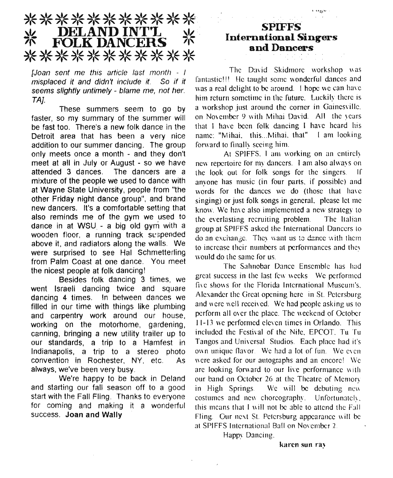### \*\*\*\*\*\*\*\*\*\*\* DELAND INTT<br>FOLK DANCERS ※ \*\*\*\*\*\*\*\*\*\*\*

*[Joan sent* me *this article last month - I misplaced it and didn't include it.* So *if it seems slightly untimely - blame me, not her. TA].*

These summers seem to go by faster, so my summary of the summer will be fast too. There's a new folk dance in the Detroit area that has been a very nice addition to our summer dancing. The group only meets once a month - and they don't meet at all in July or August - so we have attended 3 dances. The dancers are a mixture of the people we used to dance with at Wayne State University, people from "the other Friday night dance group", and brand new dancers. It's a comfortable setting that also reminds me of the gym we used to dance in at WSU - a big old gym with a wooden floor, a running track suspended above it, and radiators along the walls. We were surprised to see Hal Schmetterling from Palm Coast at one dance. You meet the nicest people at folk dancing!

Besides folk dancing 3 times, we went Israeli dancing twice and square dancing 4 times. In between dances we filled in our time with things like plumbing and carpentry work around our house, working on the motorhome, gardening, canning, bringing a new utility trailer up to our standards, a trip to a Hamfest in Indianapolis, a trip to a stereo photo convention in Rochester, NY, etc. As always, we've been very busy.

We're happy to be back in Deland and starting our fall season off to a good start with the Fall Fling. Thanks to everyone for coming and making it a wonderful success. **Joan and Wally**

### **SPIFFS International Singers** and Dancers

حصرت الأ

The David Skidmore workshop was fantastic!!! He taught some wonderful dances and was a real delight to be around. I hope we can have him return sometime in the future. Luckily there is a workshop just around the comer in Gainesville. on November 9 with Mihai David. All the years that I have been folk dancing I have heard his name: "Mihai. this... Mihai. that" I am looking forward to finally seeing him.

At SPIFFS. I am working on an entirely new repertoire for my dancers. I am also always on the look out for folk songs for the singers If anyone has music (in four parts. if possible) and words for the dances we do (those that have singing) or just folk songs in general, please Ict me know. We have also implemented a new strategy to the everlasting recruiting problem. The Italian group at SPIFFS asked the International Dancers to do an exchange. The, want us to dance with them to increase their numbers at performances and thcv would do thc same for us.

Thc Sahnobar Dance Ensemble has had great success in the last few weeks. Wc performed five shows for the Florida International Museum's. Alexander the Great opening here in St. Petersburg and were well received. We had people asking us to perform all oyer the place. The weekend of October 11-13 we performed eleven times in Orlando. This included the Festival of the Nile. EPCOT. Tu Tu Tangos and Universal Studios. Each place had it's own unique flavor. We had a lot of fun. We even were asked for our autographs and an encore! Wc are looking forward to our live performance with our band on October 26 at the Theatre of Memory in High Springs. We will be debuting new costumes and new choreography. Unfortunatclv. this means that  $I$  will not be able to attend the  $F3I$ Fling. Our next St. Petersburg appearance will be at SPIFFS International Ball on November 2.

Happy Dancing.

karen sun ray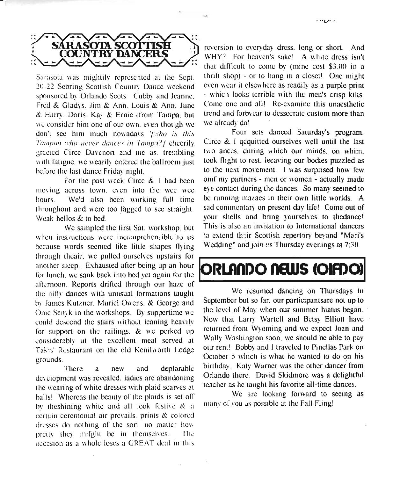

Sarasota was mightily represented at the Sept. 20-22 Sebring Scottish Country Dance weekend sponsored by Orlando Scots. Cubby and Jeanne. Fred & Gladys. Jim & Ann. Louis & Ann. June *S:* Harry. Doris. Kay & Ernie (from Tampa. but we consider him one of our own. even though we don't see him much nowadays *'[who is this Tampan who never dances in Tampa?/* cheerily. greeted Circe Davcnort and me as. trembling with fatigue, we wearily entered the ballroom just before the last dance Friday night

For the past week Circe & I had been moving across town, even into the wee wee hours. We'd also been working full time throughout and were too fagged to see straight Weak hellos & to bed.

We sampled the first Sat. workshop. but when instructions were incomprehensible to us because words seemed like little shapes flying through theair, we pulled ourselves upstairs for another sleep. Exhausted after being up an hour for lunch. we sank back into bed yet again for the afternoon. Reports drifted through our haze of the nifty dances with unusual formations taught bv James Kutzner, Muriel Owens. & George and Onie Senyk in the workshops. By suppertime we could descend the stairs without leaning hcavilv for support on the railings. & we perked up considerably at the excellent meal served at Takis' Restaurant on the old Kenilworth Lodge grounds.

There a new and deplorable development was revealed: ladies are abandoning the wearing of white dresses with plaid scarves at halls! Whereas the beauty of the plaids is set ofT by theshining white and all look festive  $\&$  a certain ceremonial air prevails. prints & colored dresses do nothing of the sort, no matter how pretty they mifght be in themselves The occasion as a whole loses a GREAT deal in this

reversion to everyday dress, long or short. And WHY? For heaven's sake! A white dress isn't that difficult to come by (mine cost \$3.00 in a thrift shop) - or to hang in a closet! One might even wear it elsewhere as readily as a purple print - which looks terrible with the men's crisp kilts. Come one and all! Re-examine this unaesthetic trend and forbvcar to dessecrate custom more than we already do!

Four sets danced Saturday's program. Circe & I qcquitted ourselves well until the last two anccs. during which our minds, on whim, took flight to rest, leeaving our bodies puzzled as to the next movement. I was surprised how few omf my partners - men or women - actually made eye contact during the dances. So many seemed to be running mazaes in their own little worlds. A sad commentary on present day life! Come out of your shells and bring yourselves to thedance! This is also an invitation to International dancers '.0 extend th-;ir Scottish repertory beyond "Mart's Wedding" and join us Thursday evenings at 7:30.

# **ORLANDO NEWS (OIFDO**

We resumed dancing on Thursdays in September but so far, our participantsare not up to the level of May when our summer hiatus began. Now that Larry Warrell and Betsy Elliott have ' returned from Wyoming and we expect Joan and Wally Washington soon, we should be able to pay our rent! Bobby and I traveled to Pinellas Park on October 5 which is what he wanted to do on his birthday. Katy Warner was the other dancer from Orlando there. David Skidmore was a dcIightful teacher as he taught his favorite all-time dances.

We are looking forward to seeing as many of you as possible at the Fall Fling!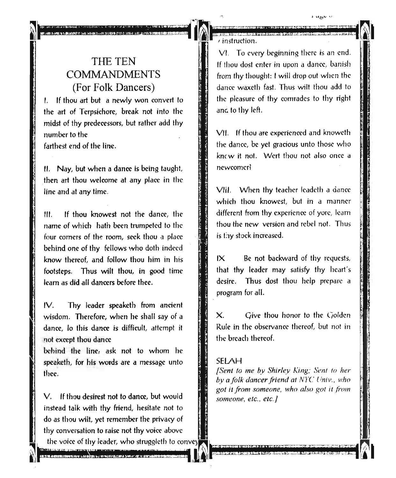### THE TEN COMMANDMENTS (For Folk Dancers)

I. If thou art but a newly won convert to the art of Terpsichore, break not into the midst of thy predecessors, but rather add thy number to the farthest end of the line.

II. Nay, but when a dance is being taught, then art thou welcome at any place in the line and at any time.

III. If thou knowest not the dance, the name of which hath been trumpeted to the four comers of the room, seck thou a place behind one of thy fellows who doth indeed know thereof, and follow thou him in his footsteps. Thus wilt thou, in good time learn as did all dancers before thee.

IV. Thy leader speaketh from ancient wisdom. Therefore, when he shall say of a dance, 10 this dance is difficult, attempt it not except thou dance

behind the line, ask not to whom he speaketh, for his words are a message unto thee.

V. If thou desirest not to dance, but would **1.1 Someone, etc., etc.** instead talk with thy friend, hesitate not to do as thou wilt, yet remember the privacy of • thy conversation to raise not thy voice above

the voice of thy leader, who struggleth to convey  $\sum_{i=1}^n$  is a construction of  $i$  ,  $i$  ,  $i$  ,  $i$  ,  $j$  ,  $j$  ,  $k$  ,  $j$  ,  $j$  ,  $k$  ,  $j$  ,  $k$  ,  $j$  ,  $k$  ,  $j$  ,  $k$  ,  $j$  ,  $k$  ,  $j$  ,  $j$  ,  $k$  ,  $j$  ,  $k$  ,  $j$  ,  $k$  ,  $j$  ,  $k$  ,  $j$  ,  $k$  ,  $j$  ,  $k$  ,  $j$ 

 $v$  instruction.

VI. To every beginning there is an end. If thou dost enter in upon a dance, banish from thy thought: I will drop out when the dance waxcth fast. Thus wilt thou add to the pleasure of thy comrades to thy right and to thy left.

 $\mathbf{a}$  and  $\mathbf{v}$ 

VII. If thou are experienced and knoweth the dance, be yet gracious unto those who knew it not. Wert thou not also once a newcomer!

VIiI. When thy teacher leadeth a dance which thou knowest, but in a manner different from thy experience of yore, learn thou the new version and rebel not. Thus is thy stock increased.

 $IX$  Be not backward of thy requests, that thy leader may satisfy thy heart's desire. Thus dost thou help prepare a program for all.

 $X.$  Give thou honor to the Golden Rule in the observance thereof, but not in the breach thereof.

#### SELAH

*[Sent to me by Shirley King; Sent to her by afolk dancer friend at lYre Univ .. who got it from someone, who also got it from*